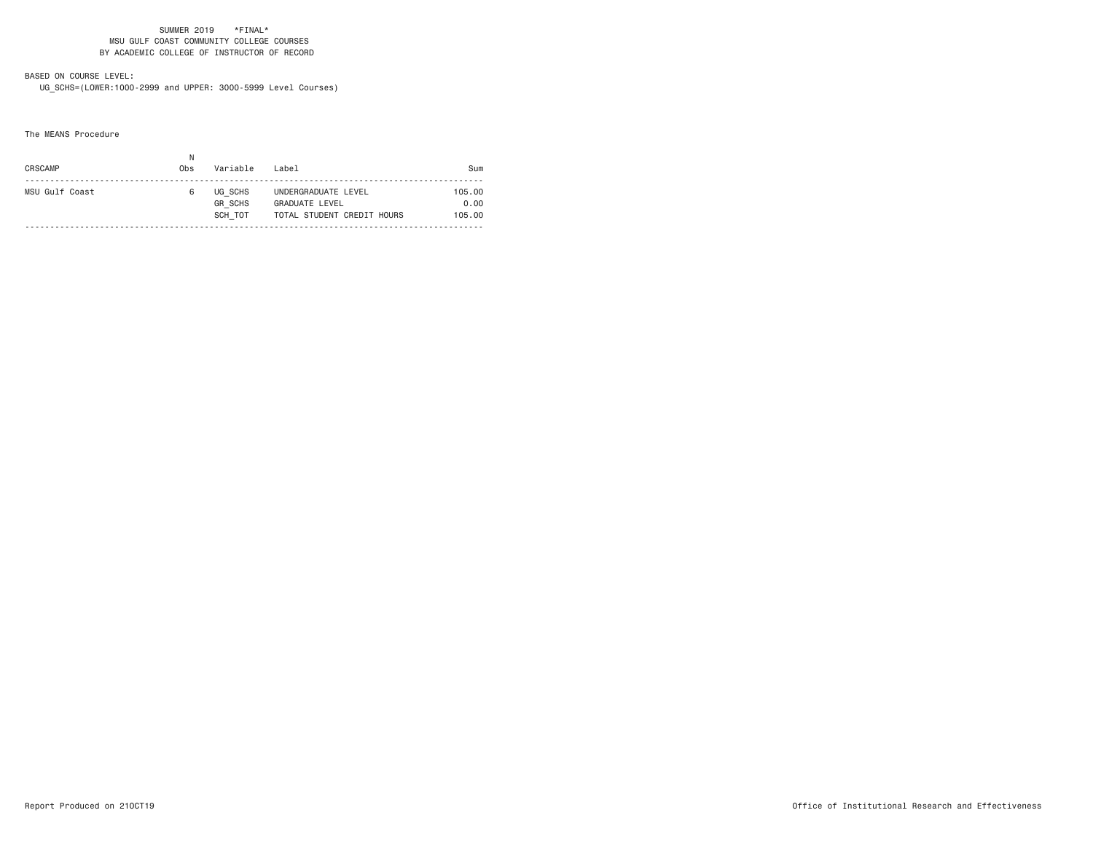# BASED ON COURSE LEVEL:

UG\_SCHS=(LOWER:1000-2999 and UPPER: 3000-5999 Level Courses)

The MEANS Procedure

| CRSCAMP        | Obs | Variable                             | Label                                                                      | Sum                      |
|----------------|-----|--------------------------------------|----------------------------------------------------------------------------|--------------------------|
| MSU Gulf Coast |     | UG SCHS<br><b>GR SCHS</b><br>SCH TOT | UNDERGRADUATE LEVEL<br><b>GRADUATE LEVEL</b><br>TOTAL STUDENT CREDIT HOURS | 105.00<br>0.00<br>105.00 |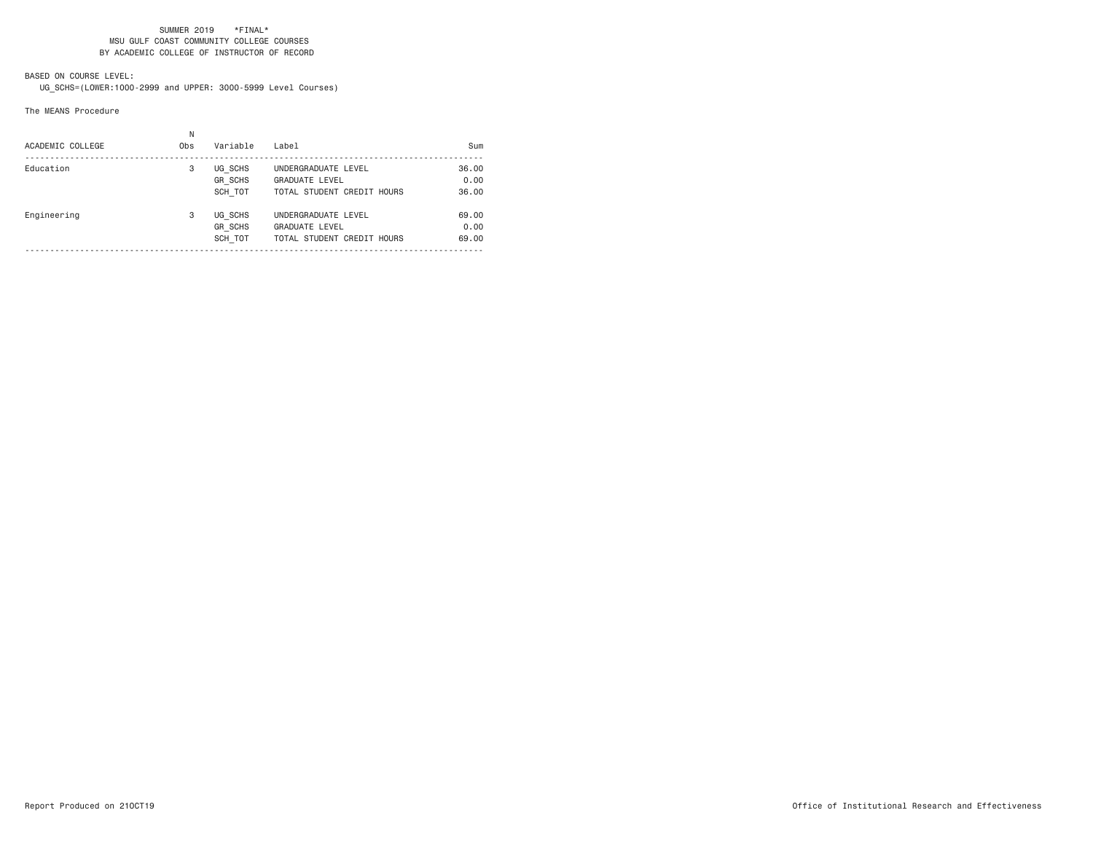## BASED ON COURSE LEVEL:

UG\_SCHS=(LOWER:1000-2999 and UPPER: 3000-5999 Level Courses)

#### The MEANS Procedure

| ACADEMIC COLLEGE | Ν<br>Obs | Variable                             | Label                                                                      | Sum                    |
|------------------|----------|--------------------------------------|----------------------------------------------------------------------------|------------------------|
| Education        | 3        | UG SCHS<br><b>GR SCHS</b><br>SCH TOT | UNDERGRADUATE LEVEL<br><b>GRADUATE LEVEL</b><br>TOTAL STUDENT CREDIT HOURS | 36,00<br>0.00<br>36.00 |
| Engineering      | 3        | UG SCHS<br><b>GR SCHS</b><br>SCH TOT | UNDERGRADUATE LEVEL<br><b>GRADUATE LEVEL</b><br>TOTAL STUDENT CREDIT HOURS | 69.00<br>0.00<br>69.00 |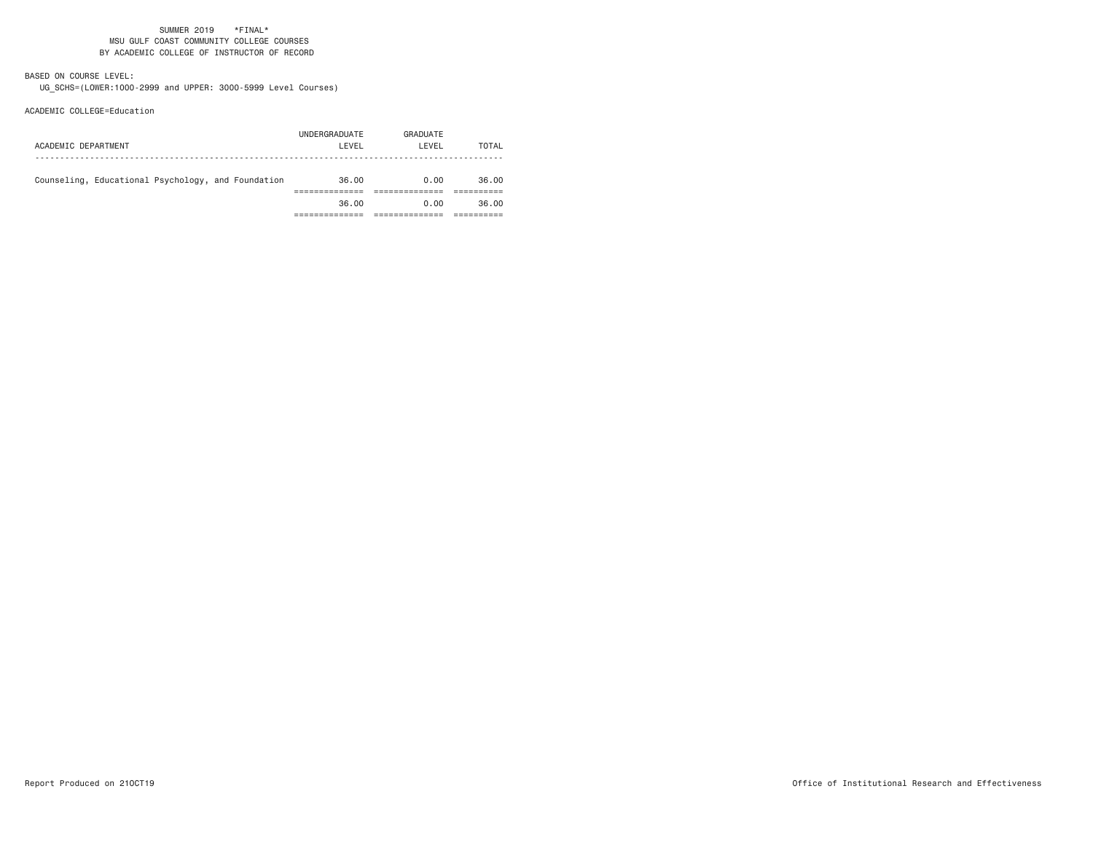## BASED ON COURSE LEVEL:

UG\_SCHS=(LOWER:1000-2999 and UPPER: 3000-5999 Level Courses)

### ACADEMIC COLLEGE=Education

| ACADEMIC DEPARTMENT                                | UNDERGRADUATE<br>LEVEL | GRADUATE<br>LEVEL | TOTAL |
|----------------------------------------------------|------------------------|-------------------|-------|
| Counseling, Educational Psychology, and Foundation | 36.00                  | 0.00              | 36.00 |
|                                                    | 36.00                  | 0.00              | 36.00 |
|                                                    |                        |                   |       |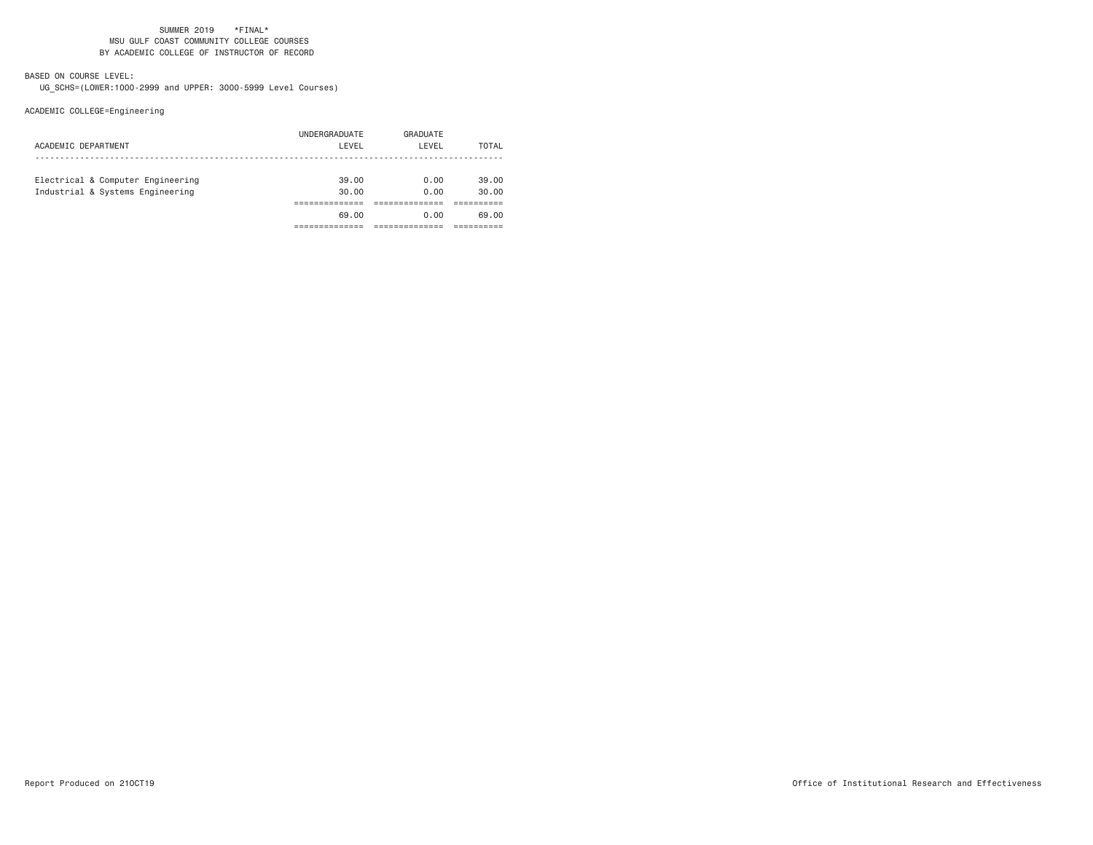## BASED ON COURSE LEVEL:

UG\_SCHS=(LOWER:1000-2999 and UPPER: 3000-5999 Level Courses)

# ACADEMIC COLLEGE=Engineering

| ACADEMIC DEPARTMENT                                                   | UNDERGRADUATE<br>LEVEL | GRADUATE<br>LEVEL | TOTAL          |
|-----------------------------------------------------------------------|------------------------|-------------------|----------------|
| Electrical & Computer Engineering<br>Industrial & Systems Engineering | 39.00<br>30.00         | 0.00<br>0.00      | 39.00<br>30.00 |
|                                                                       | 69.00                  | 0.00              | 69.00          |
|                                                                       |                        |                   |                |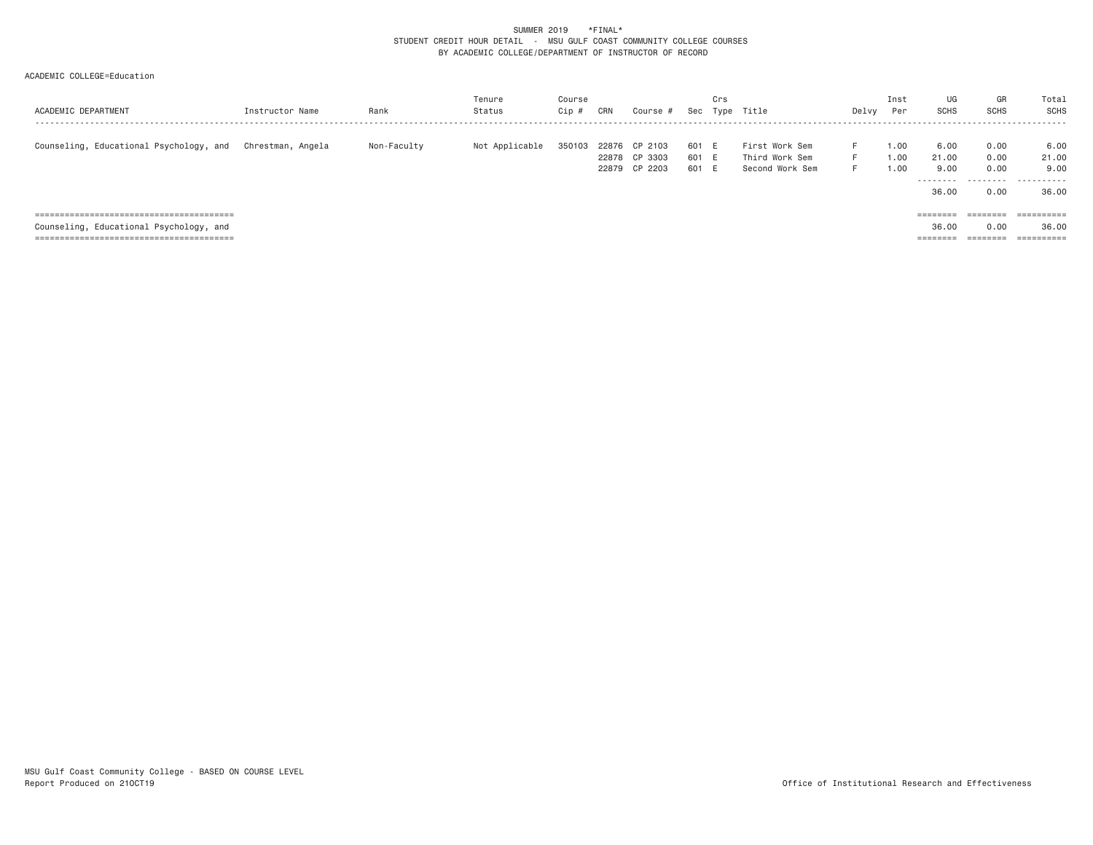#### SUMMER 2019 \*FINAL\* STUDENT CREDIT HOUR DETAIL - MSU GULF COAST COMMUNITY COLLEGE COURSES BY ACADEMIC COLLEGE/DEPARTMENT OF INSTRUCTOR OF RECORD

### ACADEMIC COLLEGE=Education

| ACADEMIC DEPARTMENT                     | Instructor Name   | Rank        | Tenure<br>Status | Course<br>Cip | CRN | Course #                                        | Sec                     | Crs | Type Title                                          | Delvy          | Inst<br>Per          | UG<br>SCHS            | GR<br><b>SCHS</b>    | Total<br>SCHS         |
|-----------------------------------------|-------------------|-------------|------------------|---------------|-----|-------------------------------------------------|-------------------------|-----|-----------------------------------------------------|----------------|----------------------|-----------------------|----------------------|-----------------------|
| Counseling, Educational Psychology, and | Chrestman. Angela | Non-Faculty | Not Applicable   | 350103        |     | 22876 CP 2103<br>22878 CP 3303<br>22879 CP 2203 | 601 E<br>601 E<br>601 E |     | First Work Sem<br>Third Work Sem<br>Second Work Sem | F.<br>F.<br>F. | 1.00<br>1.00<br>1.00 | 6.00<br>21.00<br>9.00 | 0.00<br>0.00<br>0.00 | 6.00<br>21.00<br>9,00 |
|                                         |                   |             |                  |               |     |                                                 |                         |     |                                                     |                |                      | 36.00                 | 0.00                 | <br>36.00             |
|                                         |                   |             |                  |               |     |                                                 |                         |     |                                                     |                |                      | ========              | ========             | $=$ = = = = = = = = = |
| Counseling, Educational Psychology, and |                   |             |                  |               |     |                                                 |                         |     |                                                     |                |                      | 36.00                 | 0.00                 | 36.00                 |
|                                         |                   |             |                  |               |     |                                                 |                         |     |                                                     |                |                      | ========              | ========             | ==========            |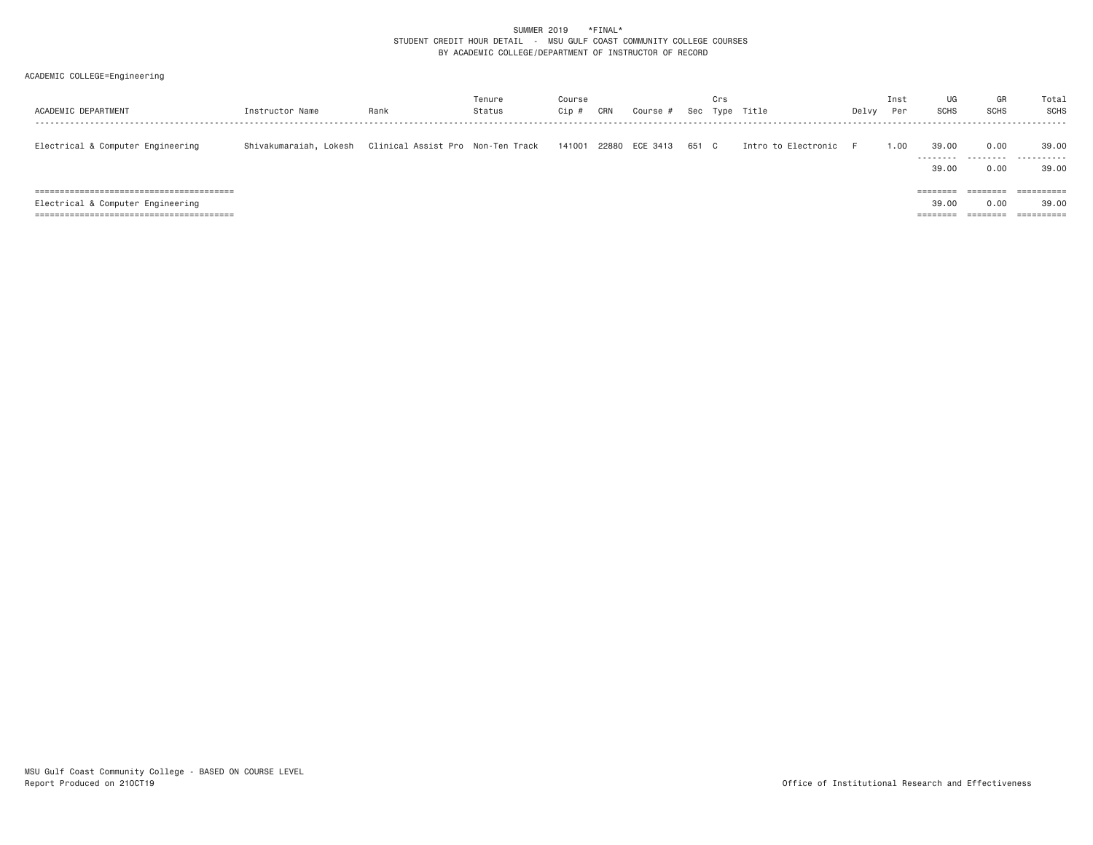### SUMMER 2019 \*FINAL\* STUDENT CREDIT HOUR DETAIL - MSU GULF COAST COMMUNITY COLLEGE COURSES BY ACADEMIC COLLEGE/DEPARTMENT OF INSTRUCTOR OF RECORD

## ACADEMIC COLLEGE=Engineering

| ACADEMIC DEPARTMENT               | Instructor Name        | Rank                              | Tenure<br>Status | Course<br>Cip | CRN | Course         | Sec   | Crs<br>Type | Title               | Delvy | Inst<br>Per | UG<br><b>SCHS</b>                          | GR<br><b>SCHS</b>                                 | Total<br>SCHS                     |
|-----------------------------------|------------------------|-----------------------------------|------------------|---------------|-----|----------------|-------|-------------|---------------------|-------|-------------|--------------------------------------------|---------------------------------------------------|-----------------------------------|
| Electrical & Computer Engineering | Shivakumaraiah, Lokesh | Clinical Assist Pro Non-Ten Track |                  | 141001        |     | 22880 ECE 3413 | 651 C |             | Intro to Electronic |       | 00.1        | 39,00<br>---------<br>39,00                | 0.00<br>.<br>0.00                                 | 39,00<br>.<br>39,00               |
| Electrical & Computer Engineering |                        |                                   |                  |               |     |                |       |             |                     |       |             | ========<br>39,00<br>---------<br>-------- | $=$ = = = = = = =<br>0.00<br>________<br>-------- | ==========<br>39,00<br>========== |